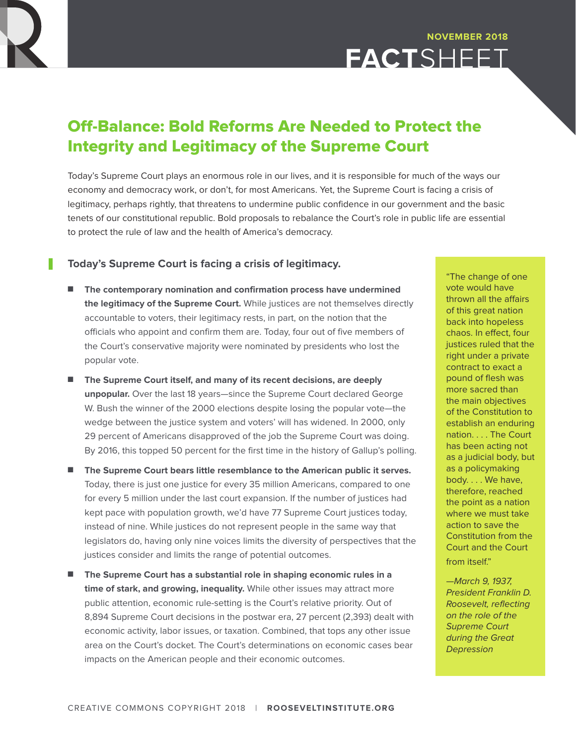

# Off-Balance: Bold Reforms Are Needed to Protect the Integrity and Legitimacy of the Supreme Court

Today's Supreme Court plays an enormous role in our lives, and it is responsible for much of the ways our economy and democracy work, or don't, for most Americans. Yet, the Supreme Court is facing a crisis of legitimacy, perhaps rightly, that threatens to undermine public confidence in our government and the basic tenets of our constitutional republic. Bold proposals to rebalance the Court's role in public life are essential to protect the rule of law and the health of America's democracy.

### **Today's Supreme Court is facing a crisis of legitimacy.**

- n **The contemporary nomination and confirmation process have undermined the legitimacy of the Supreme Court.** While justices are not themselves directly accountable to voters, their legitimacy rests, in part, on the notion that the officials who appoint and confirm them are. Today, four out of five members of the Court's conservative majority were nominated by presidents who lost the popular vote.
- n **The Supreme Court itself, and many of its recent decisions, are deeply unpopular.** Over the last 18 years—since the Supreme Court declared George W. Bush the winner of the 2000 elections despite losing the popular vote—the wedge between the justice system and voters' will has widened. In 2000, only 29 percent of Americans disapproved of the job the Supreme Court was doing. By 2016, this topped 50 percent for the first time in the history of Gallup's polling.
- n **The Supreme Court bears little resemblance to the American public it serves.**  Today, there is just one justice for every 35 million Americans, compared to one for every 5 million under the last court expansion. If the number of justices had kept pace with population growth, we'd have 77 Supreme Court justices today, instead of nine. While justices do not represent people in the same way that legislators do, having only nine voices limits the diversity of perspectives that the justices consider and limits the range of potential outcomes.
- The Supreme Court has a substantial role in shaping economic rules in a **time of stark, and growing, inequality.** While other issues may attract more public attention, economic rule-setting is the Court's relative priority. Out of 8,894 Supreme Court decisions in the postwar era, 27 percent (2,393) dealt with economic activity, labor issues, or taxation. Combined, that tops any other issue area on the Court's docket. The Court's determinations on economic cases bear impacts on the American people and their economic outcomes.

"The change of one vote would have thrown all the affairs of this great nation back into hopeless chaos. In effect, four justices ruled that the right under a private contract to exact a pound of flesh was more sacred than the main objectives of the Constitution to establish an enduring nation. . . . The Court has been acting not as a judicial body, but as a policymaking body. . . . We have, therefore, reached the point as a nation where we must take action to save the Constitution from the Court and the Court from itself."

—March 9, 1937, President Franklin D. Roosevelt, reflecting on the role of the Supreme Court during the Great **Depression**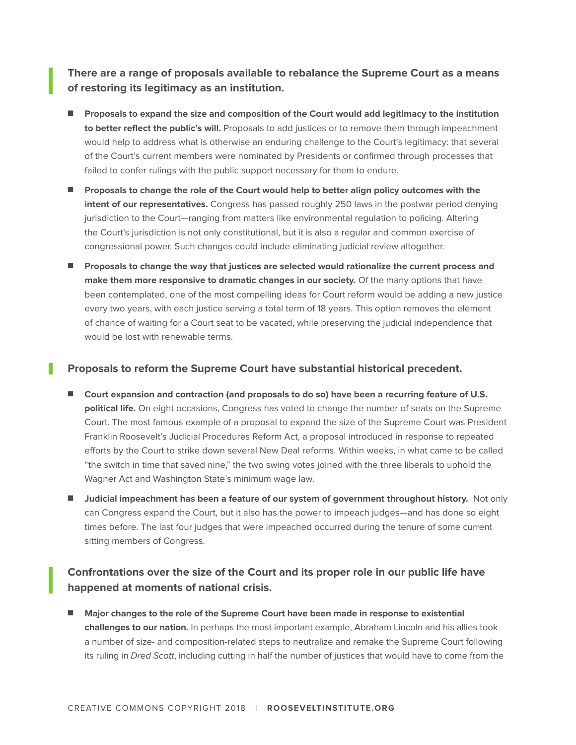**There are a range of proposals available to rebalance the Supreme Court as a means of restoring its legitimacy as an institution.**

- Proposals to expand the size and composition of the Court would add legitimacy to the institution **to better reflect the public's will.** Proposals to add justices or to remove them through impeachment would help to address what is otherwise an enduring challenge to the Court's legitimacy: that several of the Court's current members were nominated by Presidents or confirmed through processes that failed to confer rulings with the public support necessary for them to endure.
- Proposals to change the role of the Court would help to better align policy outcomes with the **intent of our representatives.** Congress has passed roughly 250 laws in the postwar period denying jurisdiction to the Court—ranging from matters like environmental regulation to policing. Altering the Court's jurisdiction is not only constitutional, but it is also a regular and common exercise of congressional power. Such changes could include eliminating judicial review altogether.
- **n** Proposals to change the way that justices are selected would rationalize the current process and **make them more responsive to dramatic changes in our society.** Of the many options that have been contemplated, one of the most compelling ideas for Court reform would be adding a new justice every two years, with each justice serving a total term of 18 years. This option removes the element of chance of waiting for a Court seat to be vacated, while preserving the judicial independence that would be lost with renewable terms.

#### **Proposals to reform the Supreme Court have substantial historical precedent.**

- Court expansion and contraction (and proposals to do so) have been a recurring feature of U.S. **political life.** On eight occasions, Congress has voted to change the number of seats on the Supreme Court. The most famous example of a proposal to expand the size of the Supreme Court was President Franklin Roosevelt's Judicial Procedures Reform Act, a proposal introduced in response to repeated efforts by the Court to strike down several New Deal reforms. Within weeks, in what came to be called "the switch in time that saved nine," the two swing votes joined with the three liberals to uphold the Wagner Act and Washington State's minimum wage law.
- $\blacksquare$  Judicial impeachment has been a feature of our system of government throughout history. Not only can Congress expand the Court, but it also has the power to impeach judges—and has done so eight times before. The last four judges that were impeached occurred during the tenure of some current sitting members of Congress.

## **Confrontations over the size of the Court and its proper role in our public life have happened at moments of national crisis.**

n **Major changes to the role of the Supreme Court have been made in response to existential challenges to our nation.** In perhaps the most important example, Abraham Lincoln and his allies took a number of size- and composition-related steps to neutralize and remake the Supreme Court following its ruling in Dred Scott, including cutting in half the number of justices that would have to come from the